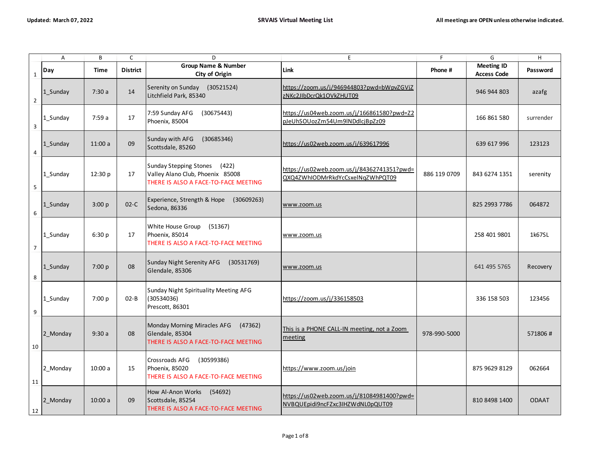|                         | A                       | B       | $\mathsf C$     | D                                                                                                           | E                                                                              | F            | G                                       | Н            |
|-------------------------|-------------------------|---------|-----------------|-------------------------------------------------------------------------------------------------------------|--------------------------------------------------------------------------------|--------------|-----------------------------------------|--------------|
| $\mathbf 1$             | Day                     | Time    | <b>District</b> | <b>Group Name &amp; Number</b><br>City of Origin                                                            | <b>Link</b>                                                                    | Phone #      | <b>Meeting ID</b><br><b>Access Code</b> | Password     |
| $\overline{2}$          | 1 Sunday                | 7:30a   | 14              | Serenity on Sunday (30521524)<br>Litchfield Park, 85340                                                     | https://zoom.us/j/946944803?pwd=bWpvZGVjZ<br>zNKc2JIbDcrQk1OVkZHUT09           |              | 946 944 803                             | azafg        |
| $\overline{\mathbf{3}}$ | 1_Sunday                | 7:59a   | 17              | 7:59 Sunday AFG<br>(30675443)<br>Phoenix, 85004                                                             | https://us04web.zoom.us/j/166861580?pwd=Z2<br>pJeUhSOUozZm54Um9INDdlcjBpZz09   |              | 166 861 580                             | surrender    |
| $\overline{a}$          | $1$ <sub>_</sub> Sunday | 11:00a  | 09              | Sunday with AFG<br>(30685346)<br>Scottsdale, 85260                                                          | https://us02web.zoom.us/j/639617996                                            |              | 639 617 996                             | 123123       |
| 5                       | 1_Sunday                | 12:30 p | 17              | Sunday Stepping Stones<br>(422)<br>Valley Alano Club, Phoenix 85008<br>THERE IS ALSO A FACE-TO-FACE MEETING | https://us02web.zoom.us/j/84362741351?pwd=<br>QXQ4ZWhIODMrRkdYcCsxelNqZWhPQT09 | 886 119 0709 | 843 6274 1351                           | serenity     |
| $\boldsymbol{6}$        | 1_Sunday                | 3:00 p  | $02-C$          | Experience, Strength & Hope<br>(30609263)<br>Sedona, 86336                                                  | www.zoom.us                                                                    |              | 825 2993 7786                           | 064872       |
| $\sqrt{ }$              | 1_Sunday                | 6:30 p  | 17              | White House Group (51367)<br>Phoenix, 85014<br>THERE IS ALSO A FACE-TO-FACE MEETING                         | www.zoom.us                                                                    |              | 258 401 9801                            | 1k67SL       |
| 8                       | 1 Sunday                | 7:00 p  | 08              | Sunday Night Serenity AFG<br>(30531769)<br>Glendale, 85306                                                  | www.zoom.us                                                                    |              | 641 495 5765                            | Recovery     |
| 9                       | 1_Sunday                | 7:00 p  | $02 - B$        | Sunday Night Spirituality Meeting AFG<br>(30534036)<br>Prescott, 86301                                      | https://zoom.us/j/336158503                                                    |              | 336 158 503                             | 123456       |
| 10                      | 2 Monday                | 9:30a   | 08              | Monday Morning Miracles AFG<br>(47362)<br>Glendale, 85304<br>THERE IS ALSO A FACE-TO-FACE MEETING           | This is a PHONE CALL-IN meeting, not a Zoom<br>meeting                         | 978-990-5000 |                                         | 571806#      |
| 11                      | 2_Monday                | 10:00a  | 15              | Crossroads AFG<br>(30599386)<br>Phoenix, 85020<br>THERE IS ALSO A FACE-TO-FACE MEETING                      | https://www.zoom.us/join                                                       |              | 875 9629 8129                           | 062664       |
| 12                      | 2_Monday                | 10:00a  | 09              | How Al-Anon Works<br>(54692)<br>Scottsdale, 85254<br>THERE IS ALSO A FACE-TO-FACE MEETING                   | https://us02web.zoom.us/j/81084981400?pwd=<br>NVBQUEpidi9ncFZxc3IHZWdNL0pQUT09 |              | 810 8498 1400                           | <b>ODAAT</b> |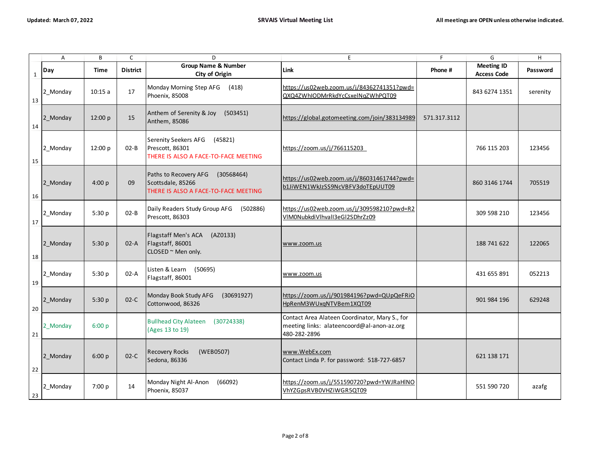|              | $\overline{A}$ | В       | $\mathsf{C}$    | D                                                                                                | E.                                                                                                           | F            | G                                       | H        |
|--------------|----------------|---------|-----------------|--------------------------------------------------------------------------------------------------|--------------------------------------------------------------------------------------------------------------|--------------|-----------------------------------------|----------|
| $\mathbf{1}$ | Day            | Time    | <b>District</b> | <b>Group Name &amp; Number</b><br>City of Origin                                                 | Link                                                                                                         | Phone #      | <b>Meeting ID</b><br><b>Access Code</b> | Password |
| 13           | 2_Monday       | 10:15a  | 17              | Monday Morning Step AFG<br>(418)<br>Phoenix, 85008                                               | https://us02web.zoom.us/j/84362741351?pwd=<br>QXQ4ZWhIODMrRkdYcCsxelNqZWhPQT09                               |              | 843 6274 1351                           | serenity |
| 14           | 2_Monday       | 12:00 p | 15              | Anthem of Serenity & Joy<br>(503451)<br>Anthem, 85086                                            | https://global.gotomeeting.com/join/383134989                                                                | 571.317.3112 |                                         |          |
| 15           | 2 Monday       | 12:00 p | $02 - B$        | Serenity Seekers AFG<br>(45821)<br>Prescott, 86301<br>THERE IS ALSO A FACE-TO-FACE MEETING       | https://zoom.us/j/766115203                                                                                  |              | 766 115 203                             | 123456   |
| 16           | 2_Monday       | 4:00 p  | 09              | Paths to Recovery AFG<br>(30568464)<br>Scottsdale, 85266<br>THERE IS ALSO A FACE-TO-FACE MEETING | https://us02web.zoom.us/j/86031461744?pwd=<br>b1JiWEN1WkJzSS9NcVBFV3doTEpUUT09                               |              | 860 3146 1744                           | 705519   |
| 17           | 2 Monday       | 5:30 p  | $02 - B$        | Daily Readers Study Group AFG<br>(502886)<br>Prescott, 86303                                     | https://us02web.zoom.us/j/309598210?pwd=R2<br>VIM0NubkdiVlhvalI3eGl2SDhrZz09                                 |              | 309 598 210                             | 123456   |
| 18           | 2 Monday       | 5:30 p  | $02-A$          | Flagstaff Men's ACA<br>(AZ0133)<br>Flagstaff, 86001<br>CLOSED ~ Men only.                        | www.zoom.us                                                                                                  |              | 188 741 622                             | 122065   |
| 19           | 2 Monday       | 5:30 p  | $02-A$          | Listen & Learn (50695)<br>Flagstaff, 86001                                                       | www.zoom.us                                                                                                  |              | 431 655 891                             | 052213   |
| 20           | 2_Monday       | 5:30p   | $02-C$          | Monday Book Study AFG<br>(30691927)<br>Cottonwood, 86326                                         | https://zoom.us/j/901984196?pwd=QUpQeFRiO<br>HpRenM3WUxqNTVBem1XQT09                                         |              | 901 984 196                             | 629248   |
| 21           | 2 Monday       | 6:00 p  |                 | <b>Bullhead City Alateen</b><br>(30724338)<br>(Ages 13 to 19)                                    | Contact Area Alateen Coordinator, Mary S., for<br>meeting links: alateencoord@al-anon-az.org<br>480-282-2896 |              |                                         |          |
| 22           | 2_Monday       | 6:00 p  | $02-C$          | <b>Recovery Rocks</b><br>(WEB0507)<br>Sedona, 86336                                              | www.WebEx.com<br>Contact Linda P. for password: 518-727-6857                                                 |              | 621 138 171                             |          |
| 23           | 2_Monday       | 7:00 p  | 14              | Monday Night Al-Anon<br>(66092)<br>Phoenix, 85037                                                | https://zoom.us/j/551590720?pwd=YWJRaHINO<br>VhYZGpsRVB0VHZiWGR5QT09                                         |              | 551 590 720                             | azafg    |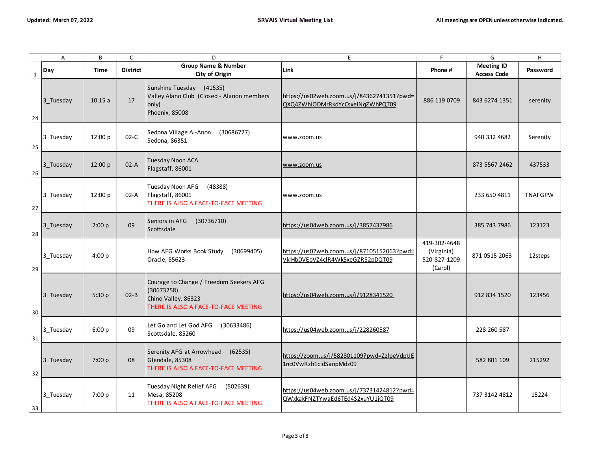|              | $\boldsymbol{A}$ | B       | $\mathsf{C}$    | D                                                                                                                    | E                                                                              | F                                                     | G                                       | $\mathsf H$    |
|--------------|------------------|---------|-----------------|----------------------------------------------------------------------------------------------------------------------|--------------------------------------------------------------------------------|-------------------------------------------------------|-----------------------------------------|----------------|
| $\mathbf{1}$ | Day              | Time    | <b>District</b> | <b>Group Name &amp; Number</b><br>City of Origin                                                                     | Link                                                                           | Phone #                                               | <b>Meeting ID</b><br><b>Access Code</b> | Password       |
| 24           | 3_Tuesday        | 10:15a  | 17              | Sunshine Tuesday (41535)<br>Valley Alano Club (Closed - Alanon members<br>only)<br>Phoenix, 85008                    | https://us02web.zoom.us/j/84362741351?pwd=<br>QXQ4ZWhIODMrRkdYcCsxelNqZWhPQT09 | 886 119 0709                                          | 843 6274 1351                           | serenity       |
| 25           | 3 Tuesday        | 12:00 p | $02-C$          | Sedona Village Al-Anon<br>(30686727)<br>Sedona, 86351                                                                | www.zoom.us                                                                    |                                                       | 940 332 4682                            | Serenity       |
| 26           | 3 Tuesday        | 12:00 p | $02-A$          | Tuesday Noon ACA<br>Flagstaff, 86001                                                                                 | www.zoom.us                                                                    |                                                       | 873 5567 2462                           | 437533         |
| 27           | 3 Tuesday        | 12:00 p | $02-A$          | Tuesday Noon AFG<br>(48388)<br>Flagstaff, 86001<br>THERE IS ALSO A FACE-TO-FACE MEETING                              | www.zoom.us                                                                    |                                                       | 233 650 4811                            | <b>TNAFGPW</b> |
| 28           | 3 Tuesday        | 2:00 p  | 09              | Seniors in AFG<br>(30736710)<br>Scottsdale                                                                           | https://us04web.zoom.us/j/3857437986                                           |                                                       | 385 743 7986                            | 123123         |
| 29           | 3 Tuesday        | 4:00 p  |                 | How AFG Works Book Study<br>(30699405)<br>Oracle, 85623                                                              | https://us02web.zoom.us/j/87105152063?pwd=<br>VklHbDVEbVZ4clR4Wk5xeGZRS2pDQT09 | 419-302-4648<br>(Virginia)<br>520-827-1209<br>(Carol) | 871 0515 2063                           | 12steps        |
| $30\,$       | 3 Tuesday        | 5:30 p  | $02 - B$        | Courage to Change / Freedom Seekers AFG<br>(30673258)<br>Chino Valley, 86323<br>THERE IS ALSO A FACE-TO-FACE MEETING | https://us04web.zoom.us/j/9128341520                                           |                                                       | 912 834 1520                            | 123456         |
| 31           | 3 Tuesday        | 6:00 p  | 09              | Let Go and Let God AFG<br>(30633486)<br>Scottsdale, 85260                                                            | https://us04web.zoom.us/j/228260587                                            |                                                       | 228 260 587                             |                |
| 32           | 3 Tuesday        | 7:00 p  | 08              | Serenity AFG at Arrowhead<br>(62535)<br>Glendale, 85308<br>THERE IS ALSO A FACE-TO-FACE MEETING                      | https://zoom.us/j/582801109?pwd=ZzlpeVdpUE<br>1nc0VwRzh1cldSanpMdz09           |                                                       | 582 801 109                             | 215292         |
| 33           | 3 Tuesday        | 7:00 p  | 11              | Tuesday Night Relief AFG (502639)<br>Mesa, 85208<br>THERE IS ALSO A FACE-TO-FACE MEETING                             | https://us04web.zoom.us/j/73731424812?pwd=<br>QWxkakFNZTYwaEd6TEd4S2xuYU1jQT09 |                                                       | 737 3142 4812                           | 15224          |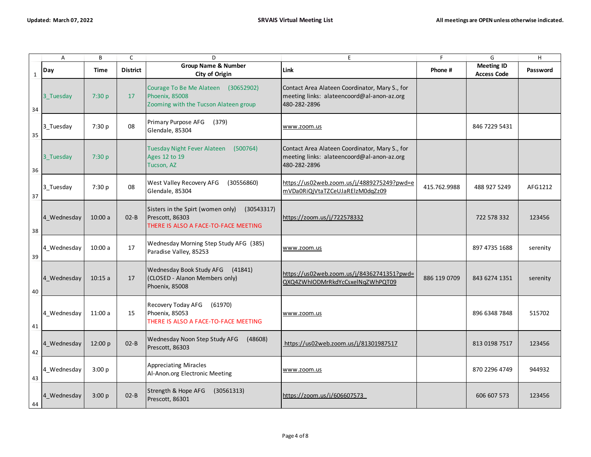|             | Α           | В       | $\mathsf{C}$    | D                                                                                                          | E                                                                                                            | F            | G                                       | H        |
|-------------|-------------|---------|-----------------|------------------------------------------------------------------------------------------------------------|--------------------------------------------------------------------------------------------------------------|--------------|-----------------------------------------|----------|
| $\mathbf 1$ | Day         | Time    | <b>District</b> | <b>Group Name &amp; Number</b><br>City of Origin                                                           | <b>Link</b>                                                                                                  | Phone #      | <b>Meeting ID</b><br><b>Access Code</b> | Password |
| 34          | 3 Tuesday   | 7:30 p  | 17              | Courage To Be Me Alateen (30652902)<br>Phoenix, 85008<br>Zooming with the Tucson Alateen group             | Contact Area Alateen Coordinator, Mary S., for<br>meeting links: alateencoord@al-anon-az.org<br>480-282-2896 |              |                                         |          |
| 35          | 3 Tuesday   | 7:30 p  | 08              | Primary Purpose AFG<br>(379)<br>Glendale, 85304                                                            | www.zoom.us                                                                                                  |              | 846 7229 5431                           |          |
| 36          | 3 Tuesday   | 7:30 p  |                 | <b>Tuesday Night Fever Alateen</b><br>(500764)<br>Ages 12 to 19<br>Tucson, AZ                              | Contact Area Alateen Coordinator, Mary S., for<br>meeting links: alateencoord@al-anon-az.org<br>480-282-2896 |              |                                         |          |
| 37          | 3 Tuesday   | 7:30 p  | 08              | West Valley Recovery AFG<br>(30556860)<br>Glendale, 85304                                                  | https://us02web.zoom.us/j/4889275249?pwd=e<br>mVDa0RiQjVtaTZCeUJaRElzM0dqZz09                                | 415.762.9988 | 488 927 5249                            | AFG1212  |
| 38          | 4 Wednesday | 10:00a  | $02 - B$        | (30543317)<br>Sisters in the Spirt (women only)<br>Prescott, 86303<br>THERE IS ALSO A FACE-TO-FACE MEETING | https://zoom.us/j/722578332                                                                                  |              | 722 578 332                             | 123456   |
| 39          | 4 Wednesday | 10:00a  | 17              | Wednesday Morning Step Study AFG (385)<br>Paradise Valley, 85253                                           | www.zoom.us                                                                                                  |              | 897 4735 1688                           | serenity |
| 40          | 4 Wednesday | 10:15a  | 17              | Wednesday Book Study AFG<br>(41841)<br>(CLOSED - Alanon Members only)<br>Phoenix, 85008                    | https://us02web.zoom.us/j/84362741351?pwd=<br>QXQ4ZWhIODMrRkdYcCsxelNqZWhPQT09                               | 886 119 0709 | 843 6274 1351                           | serenity |
| 41          | 4 Wednesday | 11:00a  | 15              | Recovery Today AFG<br>(61970)<br>Phoenix, 85053<br>THERE IS ALSO A FACE-TO-FACE MEETING                    | www.zoom.us                                                                                                  |              | 896 6348 7848                           | 515702   |
| 42          | 4_Wednesday | 12:00 p | $02 - B$        | Wednesday Noon Step Study AFG<br>(48608)<br>Prescott, 86303                                                | https://us02web.zoom.us/j/81301987517                                                                        |              | 813 0198 7517                           | 123456   |
| 43          | 4 Wednesday | 3:00 p  |                 | <b>Appreciating Miracles</b><br>Al-Anon.org Electronic Meeting                                             | www.zoom.us                                                                                                  |              | 870 2296 4749                           | 944932   |
| 44          | 4 Wednesday | 3:00 p  | $O2-B$          | Strength & Hope AFG<br>(30561313)<br>Prescott, 86301                                                       | https://zoom.us/j/606607573                                                                                  |              | 606 607 573                             | 123456   |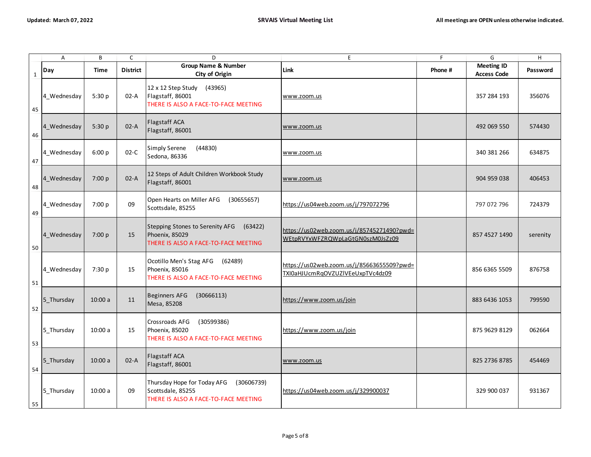|              | $\overline{A}$ | B      | $\mathsf C$     | D                                                                                                      | E                                                                              | F       | G                                       | H        |
|--------------|----------------|--------|-----------------|--------------------------------------------------------------------------------------------------------|--------------------------------------------------------------------------------|---------|-----------------------------------------|----------|
| $\mathbf{1}$ | Day            | Time   | <b>District</b> | Group Name & Number<br>City of Origin                                                                  | Link                                                                           | Phone # | <b>Meeting ID</b><br><b>Access Code</b> | Password |
| 45           | 4 Wednesday    | 5:30 p | $02-A$          | 12 x 12 Step Study<br>(43965)<br>Flagstaff, 86001<br>THERE IS ALSO A FACE-TO-FACE MEETING              | www.zoom.us                                                                    |         | 357 284 193                             | 356076   |
| 46           | 4_Wednesday    | 5:30p  | $02-A$          | Flagstaff ACA<br>Flagstaff, 86001                                                                      | www.zoom.us                                                                    |         | 492 069 550                             | 574430   |
| 47           | 4_Wednesday    | 6:00 p | $02-C$          | <b>Simply Serene</b><br>(44830)<br>Sedona, 86336                                                       | www.zoom.us                                                                    |         | 340 381 266                             | 634875   |
| 48           | 4 Wednesday    | 7:00 p | $02-A$          | 12 Steps of Adult Children Workbook Study<br>Flagstaff, 86001                                          | www.zoom.us                                                                    |         | 904 959 038                             | 406453   |
| 49           | 4_Wednesday    | 7:00 p | 09              | Open Hearts on Miller AFG<br>(30655657)<br>Scottsdale, 85255                                           | https://us04web.zoom.us/j/797072796                                            |         | 797 072 796                             | 724379   |
| 50           | 4 Wednesday    | 7:00 p | 15              | Stepping Stones to Serenity AFG<br>(63422)<br>Phoenix, 85029<br>THERE IS ALSO A FACE-TO-FACE MEETING   | https://us02web.zoom.us/j/85745271490?pwd=<br>WEtpRVYxWFZRQWpLaGtGN0szM0JsZz09 |         | 857 4527 1490                           | serenity |
| 51           | 4 Wednesday    | 7:30 p | 15              | Ocotillo Men's Stag AFG<br>(62489)<br>Phoenix, 85016<br>THERE IS ALSO A FACE-TO-FACE MEETING           | https://us02web.zoom.us/j/85663655509?pwd=<br>TXI0aHJUcmRqOVZUZIVEeUxpTVc4dz09 |         | 856 6365 5509                           | 876758   |
| 52           | 5 Thursday     | 10:00a | 11              | <b>Beginners AFG</b><br>(30666113)<br>Mesa, 85208                                                      | https://www.zoom.us/join                                                       |         | 883 6436 1053                           | 799590   |
| 53           | 5 Thursday     | 10:00a | 15              | Crossroads AFG<br>(30599386)<br>Phoenix, 85020<br>THERE IS ALSO A FACE-TO-FACE MEETING                 | https://www.zoom.us/join                                                       |         | 875 9629 8129                           | 062664   |
| 54           | 5_Thursday     | 10:00a | $02-A$          | <b>Flagstaff ACA</b><br>Flagstaff, 86001                                                               | www.zoom.us                                                                    |         | 825 2736 8785                           | 454469   |
| 55           | 5 Thursday     | 10:00a | 09              | Thursday Hope for Today AFG<br>(30606739)<br>Scottsdale, 85255<br>THERE IS ALSO A FACE-TO-FACE MEETING | https://us04web.zoom.us/j/329900037                                            |         | 329 900 037                             | 931367   |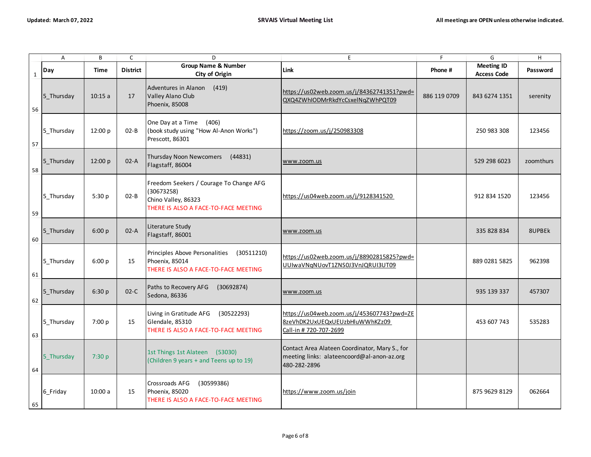|              | $\overline{A}$ | B       | $\mathsf{C}$    | D                                                                                                                    | E                                                                                                            | F            | G                                       | H         |
|--------------|----------------|---------|-----------------|----------------------------------------------------------------------------------------------------------------------|--------------------------------------------------------------------------------------------------------------|--------------|-----------------------------------------|-----------|
| $\mathbf{1}$ | Day            | Time    | <b>District</b> | <b>Group Name &amp; Number</b><br>City of Origin                                                                     | Link                                                                                                         | Phone #      | <b>Meeting ID</b><br><b>Access Code</b> | Password  |
| 56           | 5_Thursday     | 10:15a  | 17              | Adventures in Alanon<br>(419)<br>Valley Alano Club<br>Phoenix, 85008                                                 | https://us02web.zoom.us/j/84362741351?pwd=<br>QXQ4ZWhIODMrRkdYcCsxelNqZWhPQT09                               | 886 119 0709 | 843 6274 1351                           | serenity  |
| 57           | 5 Thursday     | 12:00 p | $02 - B$        | One Day at a Time<br>(406)<br>(book study using "How Al-Anon Works")<br>Prescott, 86301                              | https://zoom.us/j/250983308                                                                                  |              | 250 983 308                             | 123456    |
| 58           | 5_Thursday     | 12:00 p | $02-A$          | Thursday Noon Newcomers<br>(44831)<br>Flagstaff, 86004                                                               | www.zoom.us                                                                                                  |              | 529 298 6023                            | zoomthurs |
| 59           | 5_Thursday     | 5:30p   | $O2-B$          | Freedom Seekers / Courage To Change AFG<br>(30673258)<br>Chino Valley, 86323<br>THERE IS ALSO A FACE-TO-FACE MEETING | https://us04web.zoom.us/j/9128341520                                                                         |              | 912 834 1520                            | 123456    |
| 60           | 5 Thursday     | 6:00 p  | $02-A$          | Literature Study<br>Flagstaff, 86001                                                                                 | www.zoom.us                                                                                                  |              | 335 828 834                             | 8UPBEK    |
| 61           | 5_Thursday     | 6:00 p  | 15              | Principles Above Personalities<br>(30511210)<br>Phoenix, 85014<br>THERE IS ALSO A FACE-TO-FACE MEETING               | https://us02web.zoom.us/j/88902815825?pwd=<br>UUIwaVNqNUovT1ZNS0J3VnJQRUI3UT09                               |              | 889 0281 5825                           | 962398    |
| 62           | 5 Thursday     | 6:30 p  | $02-C$          | Paths to Recovery AFG<br>(30692874)<br>Sedona, 86336                                                                 | www.zoom.us                                                                                                  |              | 935 139 337                             | 457307    |
| 63           | 5 Thursday     | 7:00 p  | 15              | Living in Gratitude AFG<br>(30522293)<br>Glendale, 85310<br>THERE IS ALSO A FACE-TO-FACE MEETING                     | https://us04web.zoom.us/j/453607743?pwd=ZE<br>8zeVhDK2UxUEQxUEUzbHluWWhKZz09<br>Call-in # 720-707-2699       |              | 453 607 743                             | 535283    |
| 64           | 5_Thursday     | 7:30 p  |                 | 1st Things 1st Alateen (53030)<br>(Children 9 years + and Teens up to 19)                                            | Contact Area Alateen Coordinator, Mary S., for<br>meeting links: alateencoord@al-anon-az.org<br>480-282-2896 |              |                                         |           |
| 65           | 6_Friday       | 10:00a  | 15              | Crossroads AFG<br>(30599386)<br>Phoenix, 85020<br>THERE IS ALSO A FACE-TO-FACE MEETING                               | https://www.zoom.us/join                                                                                     |              | 875 9629 8129                           | 062664    |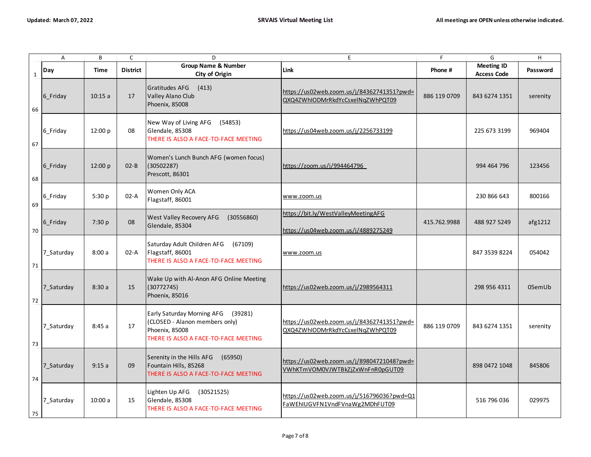|             | A          | В           | $\mathsf C$     | D                                                                                                                                 | E                                                                              | F            | G                                       | $\mathsf H$ |
|-------------|------------|-------------|-----------------|-----------------------------------------------------------------------------------------------------------------------------------|--------------------------------------------------------------------------------|--------------|-----------------------------------------|-------------|
| $\mathbf 1$ | Day        | <b>Time</b> | <b>District</b> | <b>Group Name &amp; Number</b><br>City of Origin                                                                                  | <b>Link</b>                                                                    | Phone #      | <b>Meeting ID</b><br><b>Access Code</b> | Password    |
| 66          | 6_Friday   | 10:15a      | 17              | <b>Gratitudes AFG</b><br>(413)<br>Valley Alano Club<br>Phoenix, 85008                                                             | https://us02web.zoom.us/j/84362741351?pwd=<br>QXQ4ZWhIODMrRkdYcCsxelNqZWhPQT09 | 886 119 0709 | 843 6274 1351                           | serenity    |
| 67          | 6_Friday   | 12:00 p     | 08              | New Way of Living AFG<br>(54853)<br>Glendale, 85308<br>THERE IS ALSO A FACE-TO-FACE MEETING                                       | https://us04web.zoom.us/j/2256733199                                           |              | 225 673 3199                            | 969404      |
| 68          | 6_Friday   | 12:00 p     | $02 - B$        | Women's Lunch Bunch AFG (women focus)<br>(30502287)<br>Prescott, 86301                                                            | https://zoom.us/j/994464796                                                    |              | 994 464 796                             | 123456      |
| 69          | 6_Friday   | 5:30 p      | $02-A$          | Women Only ACA<br>Flagstaff, 86001                                                                                                | www.zoom.us                                                                    |              | 230 866 643                             | 800166      |
| 70          | 6_Friday   | 7:30 p      | 08              | West Valley Recovery AFG<br>(30556860)<br>Glendale, 85304                                                                         | https://bit.ly/WestValleyMeetingAFG<br>https://us04web.zoom.us/j/4889275249    | 415.762.9988 | 488 927 5249                            | afg1212     |
| $71$        | 7_Saturday | 8:00a       | 02-A            | Saturday Adult Children AFG<br>(67109)<br>Flagstaff, 86001<br>THERE IS ALSO A FACE-TO-FACE MEETING                                | www.zoom.us                                                                    |              | 847 3539 8224                           | 054042      |
| 72          | 7_Saturday | 8:30a       | 15              | Wake Up with Al-Anon AFG Online Meeting<br>(30772745)<br>Phoenix, 85016                                                           | https://us02web.zoom.us/j/2989564311                                           |              | 298 956 4311                            | 05emUb      |
| 73          | 7_Saturday | 8:45a       | 17              | Early Saturday Morning AFG<br>(39281)<br>(CLOSED - Alanon members only)<br>Phoenix, 85008<br>THERE IS ALSO A FACE-TO-FACE MEETING | https://us02web.zoom.us/j/84362741351?pwd=<br>QXQ4ZWhIODMrRkdYcCsxelNqZWhPQT09 | 886 119 0709 | 843 6274 1351                           | serenity    |
| 74          | 7 Saturday | 9:15a       | 09              | Serenity in the Hills AFG<br>(65950)<br>Fountain Hills, 85268<br>THERE IS ALSO A FACE-TO-FACE MEETING                             | https://us02web.zoom.us/j/89804721048?pwd=<br>VWhKTmVOM0VJWTBkZjZxWnFnR0pGUT09 |              | 898 0472 1048                           | 845806      |
| 75          | 7 Saturday | 10:00a      | 15              | Lighten Up AFG<br>(30521525)<br>Glendale, 85308<br>THERE IS ALSO A FACE-TO-FACE MEETING                                           | https://us02web.zoom.us/j/516796036?pwd=Q1<br>FaWEhIUGVFN1VndFVnaWg2MDhFUT09   |              | 516 796 036                             | 029975      |